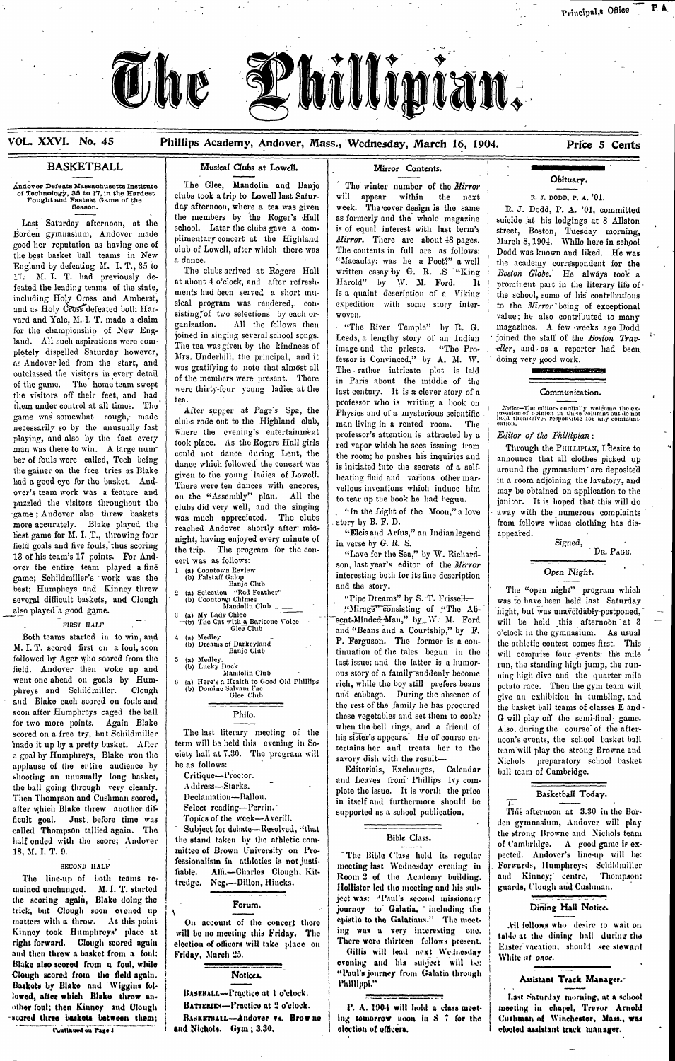

# **VOL. XXVI. No. 45 Phillips Academy, Andover, Mass., Wednesday, March 16, 1904. Price 5 Cents**

as Andover led from the start, and of the game. The home team swept were thirty-four young ladies at the the visitors off their feet, and had were thirty-four young ladies at the last century. It is a clever story of a Communication. them under control at all times. The tea.<br>game was somewhat rough, made chines and the supper at Page's Spa, the Physics and of a mysterious scientific game was somewhat rough, made<br>necessarily so by the unusually fast where the cvening's entertainment professor's attention is attracted by a Editor of the Phillipian: playing, and also by the fact every where the evening's entertainment professor's attention is attracted by a *Editor* of the Phillipines, and also by the fact every took place. As the Rogers Hall girls red vapor which he man was there to win. A large num<sup>-</sup> cook place. As the Rogers Hall girls red vapor which he sees issuing from Through the PHILLIPUAN, I desire to could not dance during Lent, the the room; he pushes his inquiries and anno the room; he pushes his inquiries and announce that all clothes picked up the secrets of a self-<br>the gainer on the free tries as Blake entire to the voung ladies of Lowell. the gamer on the free tries as Blake<br>had a good eye for the basket. And. There were ten dances with encores, relious inventions which induce him a room adjoining the lavatory, and<br>causal term work were a footing and There over's team work was a feature and on the "Assembly" plan. All the tothear up the book he had begun. may be obtained on application to the pazzled the visitors throughout the algebra and the single obtained to the pazzled puzzled the visitors throughout the clubs did very well, and the singing of the book he had begun.<br>game: Andover also threw baskets served away well, and the singing "In the Light of the Moon," a love away with the numerou -game; Andover also threw baskets was much appreciated. The clubs more accurately. See away with the numerous complaints was much appreciated. The clubs story by B. F. D. more accurately. Blake played theirached Andover shortly after- mid- .story by B. F. D. from fellows whose clothing has disbest game for M. I. T., throwing four<br>field goals and five fouls, thus scoring<br>12 of his team's 17 points. For And the trip. The program for the con-<br>12 of his team's 17 points. For And neid goals and live fours, thus scoring<br>13 of his team's 17 points. For And-<br>over the entire team played a fine<br>in the soilows:<br>over the entire team played a fine game; Schildmiller's work was the (b) Falstaff Galop<br>hasti Humphage and Kingsen thus (b) Falstaff Galop Banjo Club best; Humpheys and Kinney threw Banjo Club Banjo Club and the story.<br>Several difficult baskets, and Clough (b) Coontown Chimes (c) and the story. The "open night" program which everal difficult baskets, and Clough (b) Coon

a goal by Humphreys, Blake won the ciety hall at 7.<br>applause of the entire audience by be as follows:

## **BASKETBALL III Musical Clubs at Lowell. In Indianally Mirror Contents.**

Andover Defeats Massachusetts Institute<br>
of Technology, 35 to 17, in the Hardest<br>
Fought and Fastest Game of the<br>
Season.<br>
Season.<br>
Season.<br>
And Division of the Mirror<br>
Season.<br>
The Glee, Mandolin and Banjo<br>
Clubs took a t

England by deteating *n*. 1. 1, 50 d The clubs arrived at Rogers Hall written essay by G. R. .S "King 17. M. I. Tond. It feated the leading teams of the state, at about 4 o'clock, and after refresh- Harold" by *W. M. Ford.* It prominent part in the literary life of-<br>It is a quaint description of a Viking the school some of his contributions including Holy Cross and Amherst, ments had been served a short mu- is a quaint description of a Viking the school, some of his contributions including Holy Cross and Amherst, sical program was rendered, con- expedition with some story inter- to the *Mirror* being of exceptional and as Holy Cross defeated both Har- sical program was rendered, con- expedition wit vard and Yale, M..I. T. made a claim ganization. All the fellows then wovel. value; by R. G. wantes in also contributed to many for the championship of New Eng-<br>land. All such aspirations were com-<br>me to sampling several school songs.<br>Leeds, a lengthy story of an Indian single staff of the Boston Travhetely dispelled Saturday however, The tea was given by the kindness of image and the priests. "The Pro-<br>Mrs. Underhill, the principal, and it fessor is Convinced." by A M W Mrs. Underhill, the principal, and it fessor-is Convinced," by A. M. W. doing very good work.<br>was gratifying to note that almost all  $\parallel$  The rather intricate plot is laid outclassed the visitors in every detail was gratifying to note that almost all The - rather intricate plot is laid of the members were present. There in Paris about the middle of the

- 
- 
- 
- 
- 
- 
- 
- 

scored on a free try, but Schildmiller The last literary meeting of the 's appears. He of course en-<br>
inade it up by a pretty basket. After term will be held this evening in So-<br>
tentains have not the that the the theory i 'made it up by a pretty basket. After term will be held this evening in So-<br>a goal by Humphreys, Blake won the ciety hall at 7.30. The program will savory dish with the result and will play the strong Browne and a goal by Lumphreys, Diake won the color man at the result and fleaves from Phillips live com-<br>shooting an unusually long basket, Critique-Proctor. and Leaves from Phillips live comshooting an unusually long basket,<br>the ball going through very cleanly.<br>Then Thompson and Cushman scored, Declamation—Ballou.<br>Declamation—Ballou.<br>in itself and furthermore should be after which Blake threw another dif-<br>ficult goal. Just, before time was **reading-Perrin.** Select reading-Perrin. Supported as a school publication. This afternoon at 3.30 in the Bor-<br>denomination at 3.30 in the Borcalled Thompson tallied again. The. Subject for debate-Resolved, "that the strong Browne and Nichols team half ended with the score: Andover the stand taken by the athletic com-<br>half ended with the score: Andover the stand half ended with the score; Andover the stand taken by the athletic com-<br>18, M. I. T. 9. **the stand in the stand in the stand in the strong and team in the particle of the strong and team in the particle of the stand of the** mittee of Brown University on *Pro-* <sup>-</sup> The Bible Class held its regular pected. Andover's line-up will be:<br> **Pro- and all pected of the Class of property** on *Pro-* **Pro- Pro- Pro- Pro- Pro- Pro- Pro- Pro-**SECOND HALF **fessionalism** in athletics is not justi-<br> **in a finally finally finally and a finally in a limitation** in **Illian** 

day afternoon, where a tea was given week. The cover design is the same R. J. Dodd, P. A. '01, committed the members by the Roger's Hall as formerly and the whole magazine suicide is his lodgings at 8 Allston the members by the Roger's Hall as formerly and the whole magazine suicide at his lodgings at 8 Allston<br>school. Later the clubs gave a com-<br>is of equal interest with last term's street. Boston, Tuesday, morning Last Saturday afternoon, at the school. Later the clubs gave a com-<br>good her reputation as having one of the Subset of Later which there was a metal of Later with last term's street, Boston, Tuesday morning, plimentary con good het repatation as haring one of club of Lowell, after which there was The contents in full are as follows: Dodd was known and liked. He was the best basket ball teams in New a dance. England by defeating M. I. T., 35 to The clubs arrived at Rogers Hall | macaulay: was he a Poet? a well the academy correspondent for the Theory of The Clubs arrived at Rogers Hall | written essay by G. R. S. "King | Bosto

over the entire team played a fine some some some son, last year's equitor of the *llitror* continuous community of the *llitror* game; Schildmiller's work was the (b) Falstaff Galop

several difficult baskets, and Clough (b) Coontown Chimes.<br>Also played a good game.<br>Mirage consisting of "The Ab- night, but was unavoidably-postponed, also played-a game. : Mirage consisting of "The Ab- night, but was unavoidably-postponed,<br>- - in The Cat with a Baritone Voice sent-Minded Man," by W. M. Ford will be held this afternoon at 3 FIRST HALF  $\begin{bmatrix} -1 \\ -1 \end{bmatrix}$   $\begin{bmatrix} -1 \\ -1 \end{bmatrix}$  The Cat with a Baritone Voice  $\begin{bmatrix} -1 \\ -1 \end{bmatrix}$  Sent-Minded-Man," by W. M. Ford will be held this afternoon at 3 and "Beans and a Courtship," by F. o'clock in the gymna Both teams started in to win, and <sup>4</sup> (a) Medley and The Glub and "Beans and a Courtship," by F.<br>
T T scored first on a foul soon. (b) Dreams of Darkeyland P. Ferguson. The former is a con-Both teams started in to win, and a full contest comes first. This correct is a con-<br>M. I. T. scored first on a foul, soon a foul, soon a full contest comes first. This correct is a con-<br>followed by Ager who scored from th Followed by Ager who scored from the state of the capacity of a family-suddenly become numeration of the state of the mile our story of a family-suddenly become ning high dive and the quarter mile went one ahead on goals b went one anead on goals by Hum-<br>phreys and Schildmiller. Clough (b) Domine Salvam Fac Glub and cabbage. During the absence of give an exhibition in tumbling, and<br>and Riska each scored on fouls and and Glee Club Glue Club a and Blake each scored on fouls and sometime in tumbling, and and cabbage. During the absence of give an exhibition in tumbling, and soon after Humphreys caged the ball Fhilo.<br>
Thilo. This execution of the family he has pro for two more points. Again Blake The last literary meeting of the when the bell rings, and a friend of Also during the course of the after-<br>scored on a free try, but Schildmiller The last literary meeting of the his statem

eller, and as a reporter had been

right forward. Clough scored again | election of officers will take place on | There were thirteen fellows present.<br>And then threw a basket from a foul: | Friday, March 25. **Blake also scored from a foul, while ... .... vnig dand his** ,iulljtct will **Iit: Basakot by Blake and 'Wiggins fol. iippi t a** Baskets by Blake and Wiggins fol-<br>lowed, after which Blake throw an-<br>Baskets of *Reserve the Common Bractice at 1 o'clock*. other foul; then Kinney and Clough | BATTERIES-Practice at 2 o'clock. | P. A. 1904 will hold a class meet. | meeting in chapel, Trevor Arnold scored three baskets between them; **[BASKETBALL-Andover vs. Browno** | ing tomorrow noon in S 7 for the | Cushman of Winchester, Mass., was

The line-up of both teams re-<br>mained unchanged. M. I. T. started the called the meeting and his sub-<br>mained unchanged. M. I. T. started the meeting and his sub-<br>mained unchanged. M. I. T. started the meeting and his sub-<br>m the scoring again, Blake doing the tries, but Clough soon event at this point. The method of the concert there is a control of the concert there is a control of the Galatians." The meet matters with a throw. At this point on account of the concert there lepistle to the Galatians." The meet-<br>Kinney took Humphreys' place at lewill be no meeting this Friday. The ling was a very interesting one. Kinney took Humphreys' place at will be no meeting this Friday. The ing was a very interesting one. table at the dining hall during the hirteen fellows present. Fight forward. Clough scored ugain a election of otheors will take place on Gillis will lead next Wednesday Easter vacation, should see steward and then throw a basket from a foul; Friday, March 25. Clough scored from the field again. *Notices. Notices. Paul's journey from Galatia through**Assistant Track Manager.***<br>Baskets by Blake and Wiggins fol. <b>1996 1997 Phillippi.** Phillippi. **Phillippi.** 

**Continued on Page 3** and Nichols. Gym; 3.30, and interest and interest in the clocked assistant track manager.

Form of the week-Averill.<br>Subject for debate-Resolved, "that and management" and many Browns and Nichols team

 $\ddot{\phantom{a}}$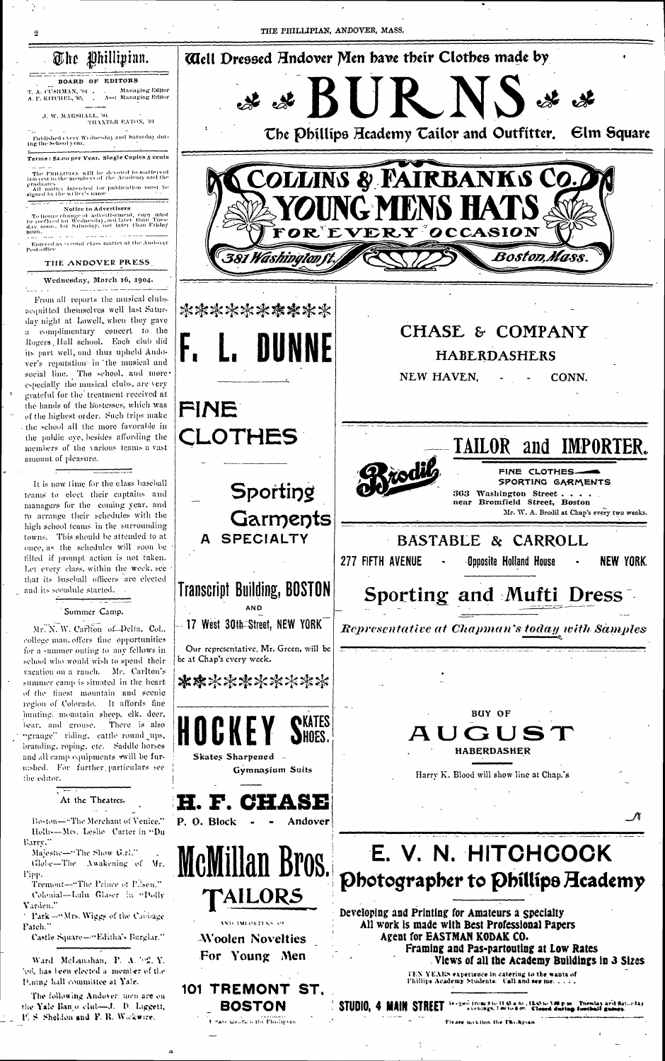# The Phillipian.

## BOARD OF EDITORS

T. A. CUSHMAN, '01 1 1 **Managing Editor** A. P. KITCHEL, '05, . . . Asst Managing Editor

J. W. MARSHALL, '04. THANTER EATON, '01

Published every Wednesday and Saturday duting the School year.

Terms: \$2.00 per Year. Single Coples 5 cents

The PHILLIPIAN WHI be devoted to matters of<br>Interest to the members of the Academy and the  $$\tt M$$  matter intended for publication must be signed by the writter's name graduates

### Notice to Advertisers

To insure change of advertisement, copy unst<br>be reeffied for Wednesday, not later than Tuesday noon, for Saturday, not later than Filday non.<br>Sex mas e sex conservado de eneros

Entered as second class matter at the Andover<br>Pest-office

### THE ANDOVER PRESS

### Wednesday, March 16, 1904.

ومساعدته المحتمد والراويد From all reports the musical clubs acquitted themselves well last Saturday night at Lowell, when they gave a complimentary concert to the Rogers Hall school. Each club did its part well, and thus upheld Andover's reputation in the musical and social line. The school, and moreespecially the musical clubs, are very grateful for the treatment received at the hands of the liostesses, which was of the highest order. Such trips make the school all the more favorable in the public eye, besides affording the members of the various teams a vast amount of pleasure.

It is now time for the class baseball teams to elect their captains and managers for the coming year, and to arrange their schedules with the high school teams in the surrounding towns. This should be attended to at once, as the schedules will soon be filled if prompt action is not taken. Let every class, within the week, see that its baseball officers are elected and its secudule started.

## Summer Camp.

Mr. N. W. Carlton of Pelta, Col., college man, offers fine opportunities for a summer outing to any fellows in school who would wish to spend their vacation on a ranch. Mr. Carlton's summer camp is situated in the heartof the finest mountain and scenic region of Colorado. It affords fine hunting, mountain sheep, elk. deer, bear, and grouse. There is also "grange" riding, eattle round ups, branding, roping, etc. Saddle horses and all camp equipments will be furmshed. For further particulars see the editor.



At the Theatres.

Boston-"The Merchant of Venice." Hollis—Mrs. Leslie Carter in "Du Barry.

Majestic-"The Show G.rl." Globe-The Awakening of Vr. Tipp.

Tremont-"The Prince of P.Jsen."

Colonial-Lulu Glaser in "Polly Varden."

<sup>1</sup> Park -"Mrs. Wiggs of the Cabbage Patch."

Castle Square-"Editha's Barglar."

Ward McLanahan, P. A. 702, Y. 'on', has been elected a member of the Dining hall committee at Yale.

The following Andover men are on the Yale Banjo club-1. D. Liggett, F. S. Sheldon and F. R. Wickwire.

**Skates Sharpened Gymnasium Suits** 

H. F. Cl

P. O. Block Andover

McMillan Bros. **TAILORS** 

AND IMFORTERS OF

-Woolen Novelties For Young Men

# 101 TREMONT ST.

BOSTON I have theirly in the Phyllipsau HADLADAƏHLA

Harry K. Blood will show line at Chap.'s

# E. V. N. HITCHCOCK Photographer to Phillips Heademy

Developing and Printing for Amateurs a Specialty All work is made with Best Professional Papers Agent for EASTMAN KODAK CO. Framing and Pas-partouting at Low Rates Views of all the Academy Buildings in 3 Sizes

TEN YEARS experience in catering to the wants of Phillips Academy Students. Call and see me.  $z \neq z$ .

egwn from 21e II 65 a ni , Ik45 to 5.00 p m. Tuesday aril Saturday<br>evenings, 7.00 to 8.00. Closed during football games.

Flease mention the l'holipian

STUDIO, 4 MAIN STREET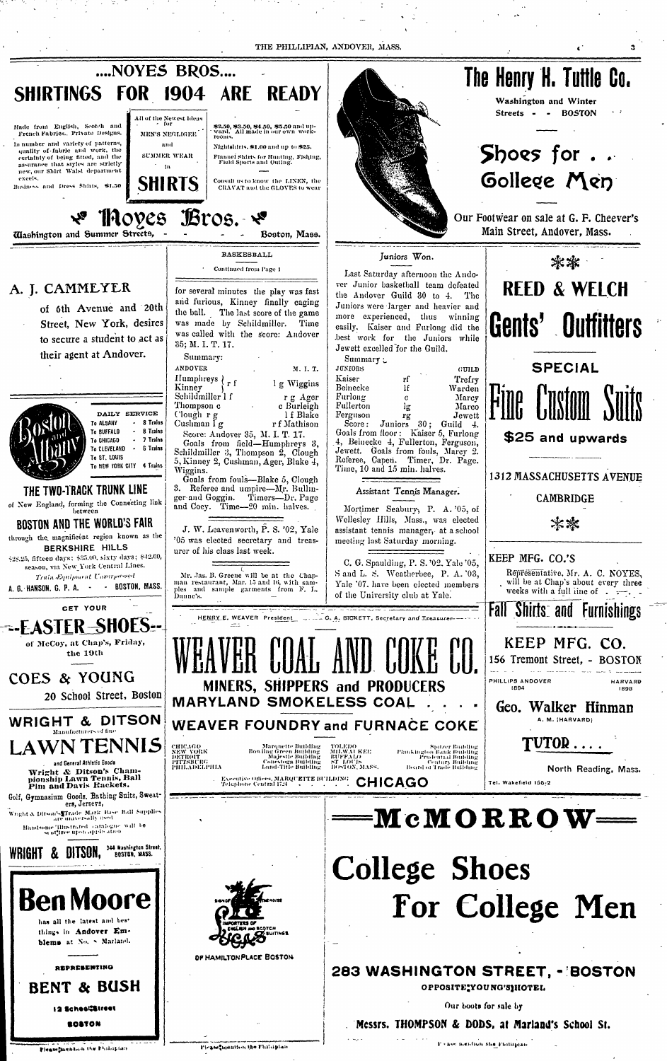THE PHILLIPIAN, ANDOVER, MASS.